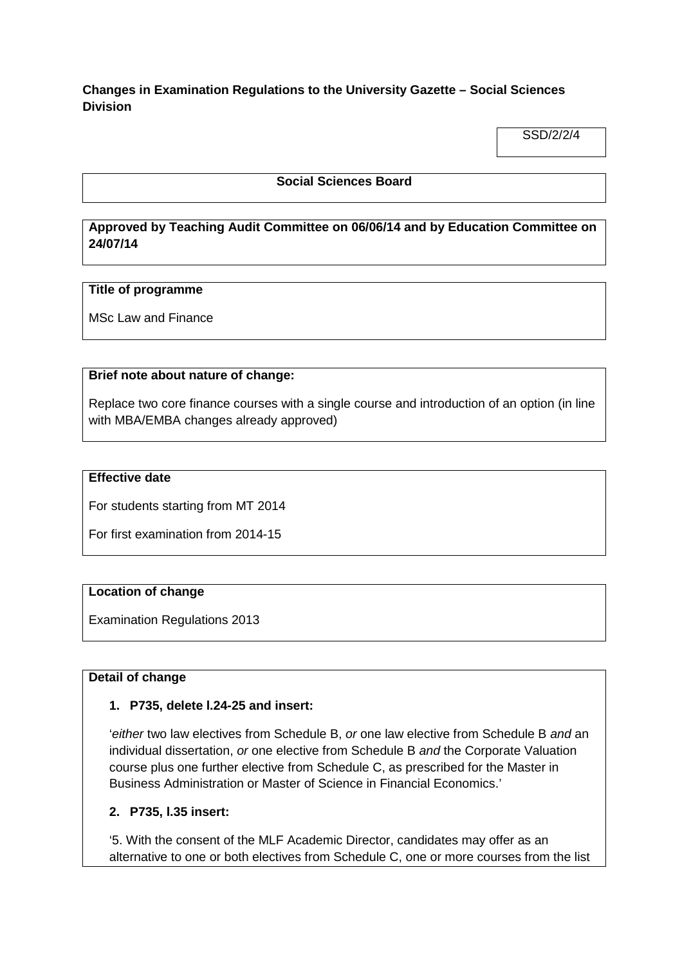# **Changes in Examination Regulations to the University Gazette – Social Sciences Division**

SSD/2/2/4

### **Social Sciences Board**

# **Approved by Teaching Audit Committee on 06/06/14 and by Education Committee on 24/07/14**

#### **Title of programme**

MSc Law and Finance

#### **Brief note about nature of change:**

Replace two core finance courses with a single course and introduction of an option (in line with MBA/EMBA changes already approved)

### **Effective date**

For students starting from MT 2014

For first examination from 2014-15

#### **Location of change**

Examination Regulations 2013

#### **Detail of change**

#### **1. P735, delete l.24-25 and insert:**

'*either* two law electives from Schedule B, *or* one law elective from Schedule B *and* an individual dissertation, *or* one elective from Schedule B *and* the Corporate Valuation course plus one further elective from Schedule C, as prescribed for the Master in Business Administration or Master of Science in Financial Economics.'

#### **2. P735, l.35 insert:**

'5. With the consent of the MLF Academic Director, candidates may offer as an alternative to one or both electives from Schedule C, one or more courses from the list